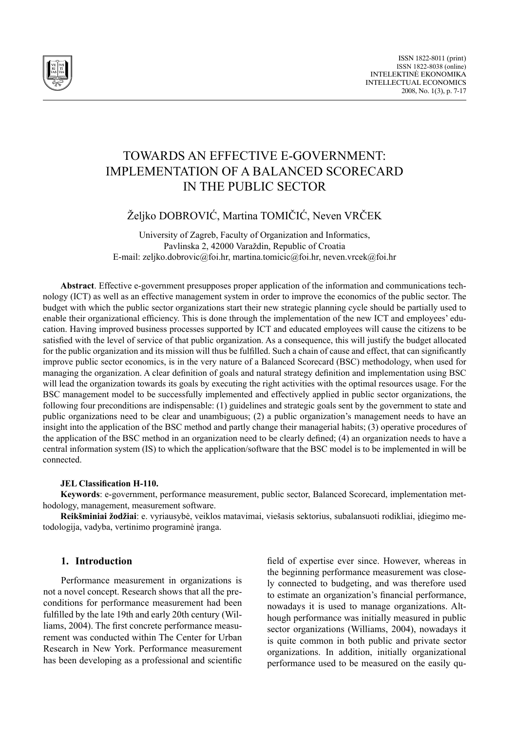

# Towards An Effective e-Government: Implementation of a Balanced Scorecard in the Public Sector

Željko DOBROVIĆ, Martina TOMIČIĆ, Neven VRČEK

University of Zagreb, Faculty of Organization and Informatics, Pavlinska 2, 42000 Varaždin, Republic of Croatia E-mail: zeljko.dobrovic@foi.hr, martina.tomicic@foi.hr, neven.vrcek@foi.hr

**Abstract**. Effective e-government presupposes proper application of the information and communications technology (ICT) as well as an effective management system in order to improve the economics of the public sector. The budget with which the public sector organizations start their new strategic planning cycle should be partially used to enable their organizational efficiency. This is done through the implementation of the new ICT and employees' education. Having improved business processes supported by ICT and educated employees will cause the citizens to be satisfied with the level of service of that public organization. As a consequence, this will justify the budget allocated for the public organization and its mission will thus be fulfilled. Such a chain of cause and effect, that can significantly improve public sector economics, is in the very nature of a Balanced Scorecard (BSC) methodology, when used for managing the organization. A clear definition of goals and natural strategy definition and implementation using BSC will lead the organization towards its goals by executing the right activities with the optimal resources usage. For the BSC management model to be successfully implemented and effectively applied in public sector organizations, the following four preconditions are indispensable: (1) guidelines and strategic goals sent by the government to state and public organizations need to be clear and unambiguous; (2) a public organization's management needs to have an insight into the application of the BSC method and partly change their managerial habits; (3) operative procedures of the application of the BSC method in an organization need to be clearly defined; (4) an organization needs to have a central information system (IS) to which the application/software that the BSC model is to be implemented in will be connected.

#### **JEL Classification H-110.**

**Keywords**: e-government, performance measurement, public sector, Balanced Scorecard, implementation methodology, management, measurement software.

**Reikšminiai žodžiai**: e. vyriausybė, veiklos matavimai, viešasis sektorius, subalansuoti rodikliai, įdiegimo metodologija, vadyba, vertinimo programinė įranga.

### **1. Introduction**

Performance measurement in organizations is not a novel concept. Research shows that all the preconditions for performance measurement had been fulfilled by the late 19th and early 20th century (Williams, 2004). The first concrete performance measurement was conducted within The Center for Urban Research in New York. Performance measurement has been developing as a professional and scientific field of expertise ever since. However, whereas in the beginning performance measurement was closely connected to budgeting, and was therefore used to estimate an organization's financial performance, nowadays it is used to manage organizations. Although performance was initially measured in public sector organizations (Williams, 2004), nowadays it is quite common in both public and private sector organizations. In addition, initially organizational performance used to be measured on the easily qu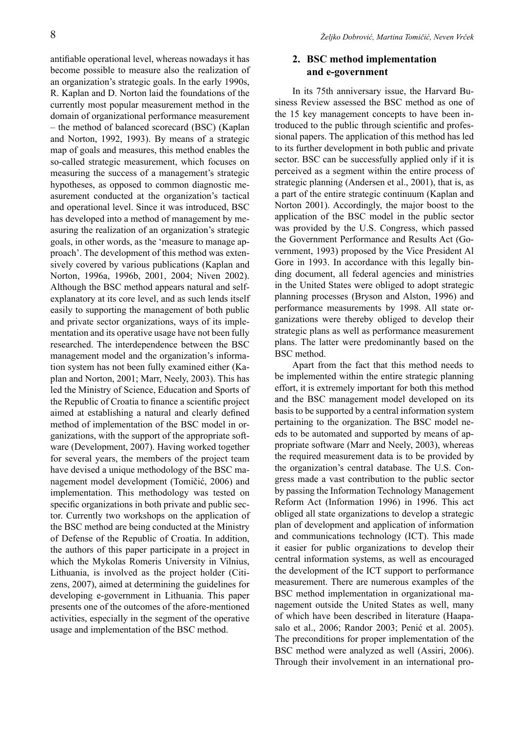antifiable operational level, whereas nowadays it has become possible to measure also the realization of an organization's strategic goals. In the early 1990s, R. Kaplan and D. Norton laid the foundations of the currently most popular measurement method in the domain of organizational performance measurement – the method of balanced scorecard (BSC) (Kaplan and Norton, 1992, 1993). By means of a strategic map of goals and measures, this method enables the so-called strategic measurement, which focuses on measuring the success of a management's strategic hypotheses, as opposed to common diagnostic measurement conducted at the organization's tactical and operational level. Since it was introduced, BSC has developed into a method of management by measuring the realization of an organization's strategic goals, in other words, as the 'measure to manage approach'. The development of this method was extensively covered by various publications (Kaplan and Norton, 1996a, 1996b, 2001, 2004; Niven 2002). Although the BSC method appears natural and selfexplanatory at its core level, and as such lends itself easily to supporting the management of both public and private sector organizations, ways of its implementation and its operative usage have not been fully researched. The interdependence between the BSC management model and the organization's information system has not been fully examined either (Kaplan and Norton, 2001; Marr, Neely, 2003). This has led the Ministry of Science, Education and Sports of the Republic of Croatia to finance a scientific project aimed at establishing a natural and clearly defined method of implementation of the BSC model in organizations, with the support of the appropriate software (Development, 2007). Having worked together for several years, the members of the project team have devised a unique methodology of the BSC management model development (Tomičić, 2006) and implementation. This methodology was tested on specific organizations in both private and public sector. Currently two workshops on the application of the BSC method are being conducted at the Ministry of Defense of the Republic of Croatia. In addition, the authors of this paper participate in a project in which the Mykolas Romeris University in Vilnius, Lithuania, is involved as the project holder (Citizens, 2007), aimed at determining the guidelines for developing e-government in Lithuania. This paper presents one of the outcomes of the afore-mentioned activities, especially in the segment of the operative usage and implementation of the BSC method.

# **2. BSC method implementation and e-government**

In its 75th anniversary issue, the Harvard Business Review assessed the BSC method as one of the 15 key management concepts to have been introduced to the public through scientific and professional papers. The application of this method has led to its further development in both public and private sector. BSC can be successfully applied only if it is perceived as a segment within the entire process of strategic planning (Andersen et al., 2001), that is, as a part of the entire strategic continuum (Kaplan and Norton 2001). Accordingly, the major boost to the application of the BSC model in the public sector was provided by the U.S. Congress, which passed the Government Performance and Results Act (Government, 1993) proposed by the Vice President Al Gore in 1993. In accordance with this legally binding document, all federal agencies and ministries in the United States were obliged to adopt strategic planning processes (Bryson and Alston, 1996) and performance measurements by 1998. All state organizations were thereby obliged to develop their strategic plans as well as performance measurement plans. The latter were predominantly based on the BSC method.

Apart from the fact that this method needs to be implemented within the entire strategic planning effort, it is extremely important for both this method and the BSC management model developed on its basis to be supported by a central information system pertaining to the organization. The BSC model needs to be automated and supported by means of appropriate software (Marr and Neely, 2003), whereas the required measurement data is to be provided by the organization's central database. The U.S. Congress made a vast contribution to the public sector by passing the Information Technology Management Reform Act (Information 1996) in 1996. This act obliged all state organizations to develop a strategic plan of development and application of information and communications technology (ICT). This made it easier for public organizations to develop their central information systems, as well as encouraged the development of the ICT support to performance measurement. There are numerous examples of the BSC method implementation in organizational management outside the United States as well, many of which have been described in literature (Haapasalo et al., 2006; Randor 2003; Penić et al. 2005). The preconditions for proper implementation of the BSC method were analyzed as well (Assiri, 2006). Through their involvement in an international pro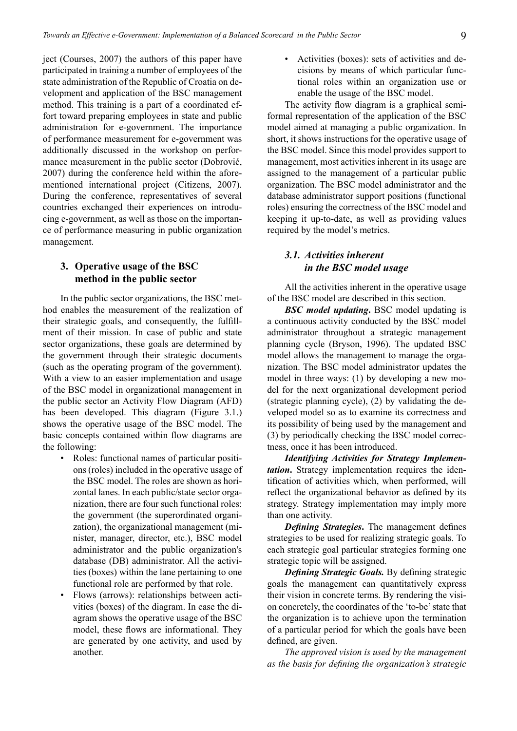ject (Courses, 2007) the authors of this paper have participated in training a number of employees of the state administration of the Republic of Croatia on development and application of the BSC management method. This training is a part of a coordinated effort toward preparing employees in state and public administration for e-government. The importance of performance measurement for e-government was additionally discussed in the workshop on performance measurement in the public sector (Dobrović, 2007) during the conference held within the aforementioned international project (Citizens, 2007). During the conference, representatives of several countries exchanged their experiences on introducing e-government, as well as those on the importance of performance measuring in public organization management.

## **3. Operative usage of the BSC method in the public sector**

In the public sector organizations, the BSC method enables the measurement of the realization of their strategic goals, and consequently, the fulfillment of their mission. In case of public and state sector organizations, these goals are determined by the government through their strategic documents (such as the operating program of the government). With a view to an easier implementation and usage of the BSC model in organizational management in the public sector an Activity Flow Diagram (AFD) has been developed. This diagram (Figure 3.1.) shows the operative usage of the BSC model. The basic concepts contained within flow diagrams are the following:

- Roles: functional names of particular positions (roles) included in the operative usage of the BSC model. The roles are shown as horizontal lanes. In each public/state sector organization, there are four such functional roles: the government (the superordinated organization), the organizational management (minister, manager, director, etc.), BSC model administrator and the public organization's database (DB) administrator. All the activities (boxes) within the lane pertaining to one functional role are performed by that role.
- Flows (arrows): relationships between activities (boxes) of the diagram. In case the diagram shows the operative usage of the BSC model, these flows are informational. They are generated by one activity, and used by another.

• Activities (boxes): sets of activities and decisions by means of which particular functional roles within an organization use or enable the usage of the BSC model.

The activity flow diagram is a graphical semiformal representation of the application of the BSC model aimed at managing a public organization. In short, it shows instructions for the operative usage of the BSC model. Since this model provides support to management, most activities inherent in its usage are assigned to the management of a particular public organization. The BSC model administrator and the database administrator support positions (functional roles) ensuring the correctness of the BSC model and keeping it up-to-date, as well as providing values required by the model's metrics.

## *3.1. Activities inherent in the BSC model usage*

All the activities inherent in the operative usage of the BSC model are described in this section.

*BSC model updating***.** BSC model updating is a continuous activity conducted by the BSC model administrator throughout a strategic management planning cycle (Bryson, 1996). The updated BSC model allows the management to manage the organization. The BSC model administrator updates the model in three ways: (1) by developing a new model for the next organizational development period (strategic planning cycle), (2) by validating the developed model so as to examine its correctness and its possibility of being used by the management and (3) by periodically checking the BSC model correctness, once it has been introduced.

*Identifying Activities for Strategy Implementation***.** Strategy implementation requires the identification of activities which, when performed, will reflect the organizational behavior as defined by its strategy. Strategy implementation may imply more than one activity.

*Defining Strategies***.** The management defines strategies to be used for realizing strategic goals. To each strategic goal particular strategies forming one strategic topic will be assigned.

*Defining Strategic Goals.* By defining strategic goals the management can quantitatively express their vision in concrete terms. By rendering the vision concretely, the coordinates of the 'to-be' state that the organization is to achieve upon the termination of a particular period for which the goals have been defined, are given.

*The approved vision is used by the management as the basis for defining the organization's strategic*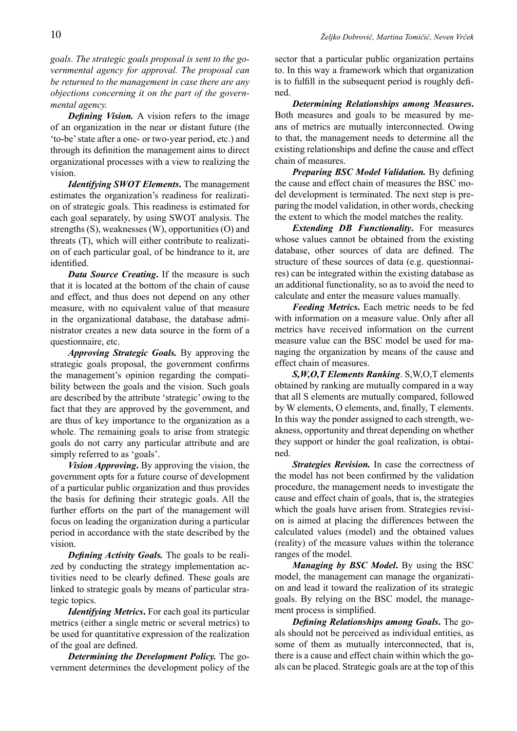*goals. The strategic goals proposal is sent to the governmental agency for approval. The proposal can be returned to the management in case there are any objections concerning it on the part of the governmental agency.*

*Defining Vision.* A vision refers to the image of an organization in the near or distant future (the 'to-be' state after a one- or two-year period, etc.) and through its definition the management aims to direct organizational processes with a view to realizing the vision.

*Identifying SWOT Elements***.** The management estimates the organization's readiness for realization of strategic goals. This readiness is estimated for each goal separately, by using SWOT analysis. The strengths (S), weaknesses (W), opportunities (O) and threats (T), which will either contribute to realization of each particular goal, of be hindrance to it, are identified.

*Data Source Creating***.** If the measure is such that it is located at the bottom of the chain of cause and effect, and thus does not depend on any other measure, with no equivalent value of that measure in the organizational database, the database administrator creates a new data source in the form of a questionnaire, etc.

*Approving Strategic Goals.* By approving the strategic goals proposal, the government confirms the management's opinion regarding the compatibility between the goals and the vision. Such goals are described by the attribute 'strategic' owing to the fact that they are approved by the government, and are thus of key importance to the organization as a whole. The remaining goals to arise from strategic goals do not carry any particular attribute and are simply referred to as 'goals'.

*Vision Approving***.** By approving the vision, the government opts for a future course of development of a particular public organization and thus provides the basis for defining their strategic goals. All the further efforts on the part of the management will focus on leading the organization during a particular period in accordance with the state described by the vision.

*Defining Activity Goals.* The goals to be realized by conducting the strategy implementation activities need to be clearly defined. These goals are linked to strategic goals by means of particular strategic topics.

*Identifying Metrics***.** For each goal its particular metrics (either a single metric or several metrics) to be used for quantitative expression of the realization of the goal are defined.

*Determining the Development Policy.* The government determines the development policy of the sector that a particular public organization pertains to. In this way a framework which that organization is to fulfill in the subsequent period is roughly defined.

*Determining Relationships among Measures***.** Both measures and goals to be measured by means of metrics are mutually interconnected. Owing to that, the management needs to determine all the existing relationships and define the cause and effect chain of measures.

*Preparing BSC Model Validation.* By defining the cause and effect chain of measures the BSC model development is terminated. The next step is preparing the model validation, in other words, checking the extent to which the model matches the reality.

*Extending DB Functionality***.** For measures whose values cannot be obtained from the existing database, other sources of data are defined. The structure of these sources of data (e.g. questionnaires) can be integrated within the existing database as an additional functionality, so as to avoid the need to calculate and enter the measure values manually.

*Feeding Metrics***.** Each metric needs to be fed with information on a measure value. Only after all metrics have received information on the current measure value can the BSC model be used for managing the organization by means of the cause and effect chain of measures.

*S,W,O,T Elements Ranking*. S,W,O,T elements obtained by ranking are mutually compared in a way that all S elements are mutually compared, followed by W elements, O elements, and, finally, T elements. In this way the ponder assigned to each strength, weakness, opportunity and threat depending on whether they support or hinder the goal realization, is obtained.

*Strategies Revision.* In case the correctness of the model has not been confirmed by the validation procedure, the management needs to investigate the cause and effect chain of goals, that is, the strategies which the goals have arisen from. Strategies revision is aimed at placing the differences between the calculated values (model) and the obtained values (reality) of the measure values within the tolerance ranges of the model.

*Managing by BSC Model***.** By using the BSC model, the management can manage the organization and lead it toward the realization of its strategic goals. By relying on the BSC model, the management process is simplified.

*Defining Relationships among Goals***.** The goals should not be perceived as individual entities, as some of them as mutually interconnected, that is, there is a cause and effect chain within which the goals can be placed. Strategic goals are at the top of this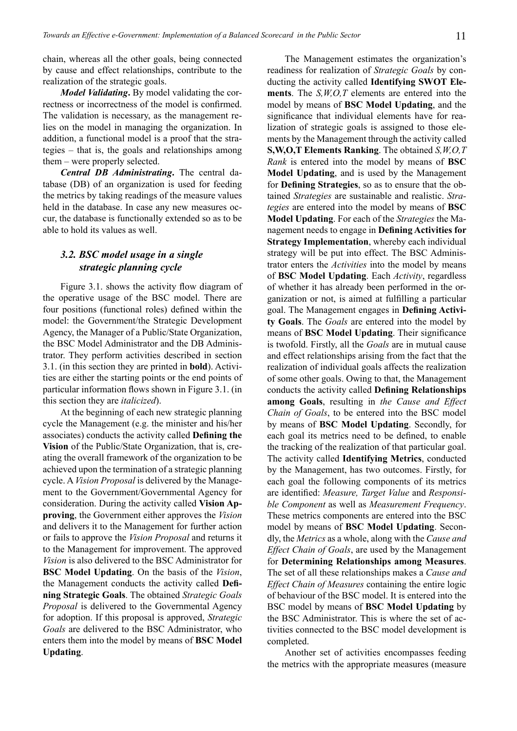chain, whereas all the other goals, being connected by cause and effect relationships, contribute to the realization of the strategic goals.

*Model Validating***.** By model validating the correctness or incorrectness of the model is confirmed. The validation is necessary, as the management relies on the model in managing the organization. In addition, a functional model is a proof that the strategies – that is, the goals and relationships among them – were properly selected.

*Central DB Administrating***.** The central database (DB) of an organization is used for feeding the metrics by taking readings of the measure values held in the database. In case any new measures occur, the database is functionally extended so as to be able to hold its values as well.

## *3.2. BSC model usage in a single strategic planning cycle*

Figure 3.1. shows the activity flow diagram of the operative usage of the BSC model. There are four positions (functional roles) defined within the model: the Government/the Strategic Development Agency, the Manager of a Public/State Organization, the BSC Model Administrator and the DB Administrator. They perform activities described in section 3.1. (in this section they are printed in **bold**). Activities are either the starting points or the end points of particular information flows shown in Figure 3.1. (in this section they are *italicized*).

At the beginning of each new strategic planning cycle the Management (e.g. the minister and his/her associates) conducts the activity called **Defining the Vision** of the Public/State Organization, that is, creating the overall framework of the organization to be achieved upon the termination of a strategic planning cycle. A *Vision Proposal* is delivered by the Management to the Government/Governmental Agency for consideration. During the activity called **Vision Approving**, the Government either approves the *Vision*  and delivers it to the Management for further action or fails to approve the *Vision Proposal* and returns it to the Management for improvement. The approved *Vision* is also delivered to the BSC Administrator for **BSC Model Updating**. On the basis of the *Vision*, the Management conducts the activity called **Defining Strategic Goals**. The obtained *Strategic Goals Proposal* is delivered to the Governmental Agency for adoption. If this proposal is approved, *Strategic Goals* are delivered to the BSC Administrator, who enters them into the model by means of **BSC Model Updating**.

The Management estimates the organization's readiness for realization of *Strategic Goals* by conducting the activity called **Identifying SWOT Elements**. The *S,W,O,T* elements are entered into the model by means of **BSC Model Updating**, and the significance that individual elements have for realization of strategic goals is assigned to those elements by the Management through the activity called **S,W,O,T Elements Ranking**. The obtained *S,W,O,T Rank* is entered into the model by means of **BSC Model Updating**, and is used by the Management for **Defining Strategies**, so as to ensure that the obtained *Strategies* are sustainable and realistic. *Strategies* are entered into the model by means of **BSC Model Updating**. For each of the *Strategies* the Management needs to engage in **Defining Activities for Strategy Implementation**, whereby each individual strategy will be put into effect. The BSC Administrator enters the *Activities* into the model by means of **BSC Model Updating**. Each *Activity*, regardless of whether it has already been performed in the organization or not, is aimed at fulfilling a particular goal. The Management engages in **Defining Activity Goals**. The *Goals* are entered into the model by means of **BSC Model Updating**. Their significance is twofold. Firstly, all the *Goals* are in mutual cause and effect relationships arising from the fact that the realization of individual goals affects the realization of some other goals. Owing to that, the Management conducts the activity called **Defining Relationships among Goals**, resulting in *the Cause and Effect Chain of Goals*, to be entered into the BSC model by means of **BSC Model Updating**. Secondly, for each goal its metrics need to be defined, to enable the tracking of the realization of that particular goal. The activity called **Identifying Metrics**, conducted by the Management, has two outcomes. Firstly, for each goal the following components of its metrics are identified: *Measure, Target Value* and *Responsible Component* as well as *Measurement Frequency*. These metrics components are entered into the BSC model by means of **BSC Model Updating**. Secondly, the *Metrics* as a whole, along with the *Cause and Effect Chain of Goals*, are used by the Management for **Determining Relationships among Measures**. The set of all these relationships makes a *Cause and Effect Chain of Measures* containing the entire logic of behaviour of the BSC model. It is entered into the BSC model by means of **BSC Model Updating** by the BSC Administrator. This is where the set of activities connected to the BSC model development is completed.

Another set of activities encompasses feeding the metrics with the appropriate measures (measure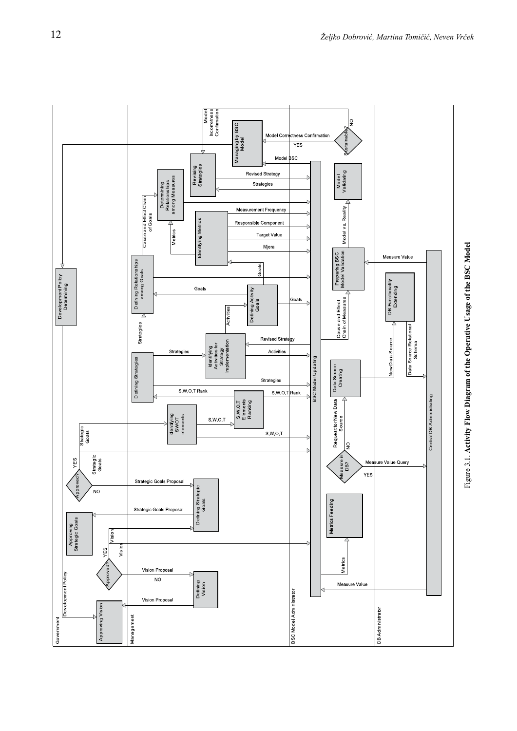

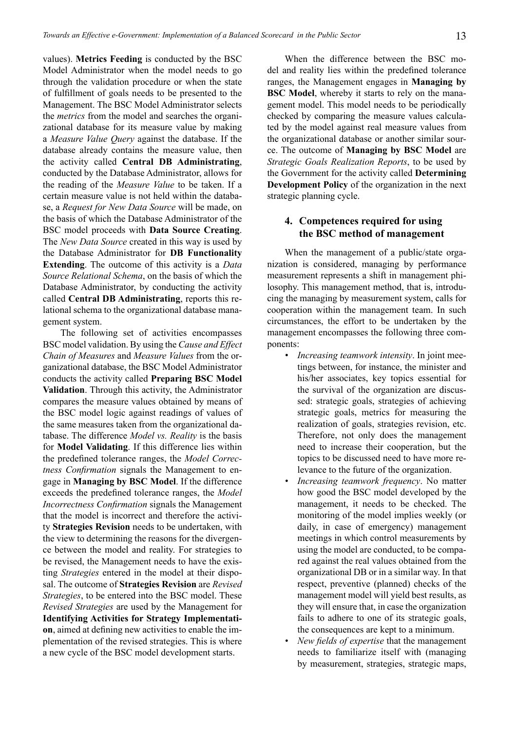values). **Metrics Feeding** is conducted by the BSC Model Administrator when the model needs to go through the validation procedure or when the state of fulfillment of goals needs to be presented to the Management. The BSC Model Administrator selects the *metrics* from the model and searches the organizational database for its measure value by making a *Measure Value Query* against the database. If the database already contains the measure value, then the activity called **Central DB Administrating**, conducted by the Database Administrator, allows for the reading of the *Measure Value* to be taken. If a certain measure value is not held within the database, a *Request for New Data Source* will be made, on the basis of which the Database Administrator of the BSC model proceeds with **Data Source Creating**. The *New Data Source* created in this way is used by the Database Administrator for **DB Functionality Extending**. The outcome of this activity is a *Data Source Relational Schema*, on the basis of which the Database Administrator, by conducting the activity called **Central DB Administrating**, reports this relational schema to the organizational database management system.

The following set of activities encompasses BSC model validation. By using the *Cause and Effect Chain of Measures* and *Measure Values* from the organizational database, the BSC Model Administrator conducts the activity called **Preparing BSC Model Validation**. Through this activity, the Administrator compares the measure values obtained by means of the BSC model logic against readings of values of the same measures taken from the organizational database. The difference *Model vs. Reality* is the basis for **Model Validating**. If this difference lies within the predefined tolerance ranges, the *Model Correctness Confirmation* signals the Management to engage in **Managing by BSC Model**. If the difference exceeds the predefined tolerance ranges, the *Model Incorrectness Confirmation* signals the Management that the model is incorrect and therefore the activity **Strategies Revision** needs to be undertaken, with the view to determining the reasons for the divergence between the model and reality. For strategies to be revised, the Management needs to have the existing *Strategies* entered in the model at their disposal. The outcome of **Strategies Revision** are *Revised Strategies*, to be entered into the BSC model. These *Revised Strategies* are used by the Management for **Identifying Activities for Strategy Implementation**, aimed at defining new activities to enable the implementation of the revised strategies. This is where a new cycle of the BSC model development starts.

When the difference between the BSC model and reality lies within the predefined tolerance ranges, the Management engages in **Managing by BSC Model**, whereby it starts to rely on the management model. This model needs to be periodically checked by comparing the measure values calculated by the model against real measure values from the organizational database or another similar source. The outcome of **Managing by BSC Model** are *Strategic Goals Realization Reports*, to be used by the Government for the activity called **Determining Development Policy** of the organization in the next strategic planning cycle.

## **4. Competences required for using the BSC method of management**

When the management of a public/state organization is considered, managing by performance measurement represents a shift in management philosophy. This management method, that is, introducing the managing by measurement system, calls for cooperation within the management team. In such circumstances, the effort to be undertaken by the management encompasses the following three components:

- *• Increasing teamwork intensity*. In joint meetings between, for instance, the minister and his/her associates, key topics essential for the survival of the organization are discussed: strategic goals, strategies of achieving strategic goals, metrics for measuring the realization of goals, strategies revision, etc. Therefore, not only does the management need to increase their cooperation, but the topics to be discussed need to have more relevance to the future of the organization.
- *• Increasing teamwork frequency*. No matter how good the BSC model developed by the management, it needs to be checked. The monitoring of the model implies weekly (or daily, in case of emergency) management meetings in which control measurements by using the model are conducted, to be compared against the real values obtained from the organizational DB or in a similar way. In that respect, preventive (planned) checks of the management model will yield best results, as they will ensure that, in case the organization fails to adhere to one of its strategic goals, the consequences are kept to a minimum.
- *• New fields of expertise* that the management needs to familiarize itself with (managing by measurement, strategies, strategic maps,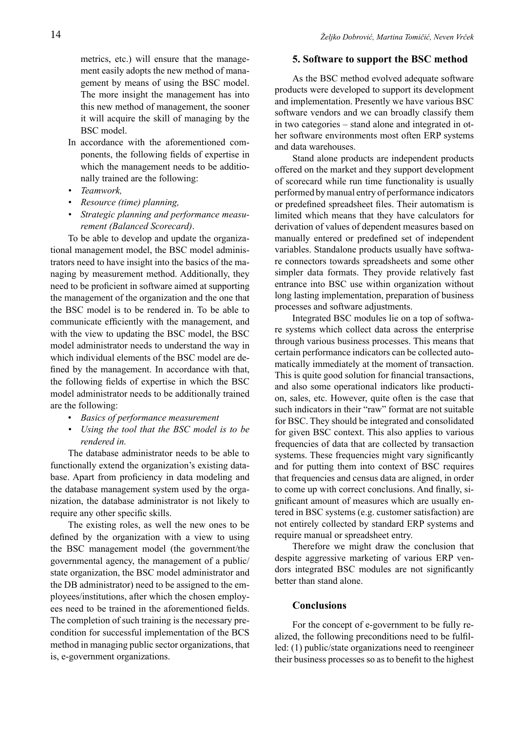metrics, etc.) will ensure that the management easily adopts the new method of management by means of using the BSC model. The more insight the management has into this new method of management, the sooner it will acquire the skill of managing by the BSC model.

- In accordance with the aforementioned components, the following fields of expertise in which the management needs to be additionally trained are the following:
- *• Teamwork,*
- *• Resource (time) planning,*
- *• Strategic planning and performance measurement (Balanced Scorecard)*.

To be able to develop and update the organizational management model, the BSC model administrators need to have insight into the basics of the managing by measurement method. Additionally, they need to be proficient in software aimed at supporting the management of the organization and the one that the BSC model is to be rendered in. To be able to communicate efficiently with the management, and with the view to updating the BSC model, the BSC model administrator needs to understand the way in which individual elements of the BSC model are defined by the management. In accordance with that, the following fields of expertise in which the BSC model administrator needs to be additionally trained are the following:

- *Basics of performance measurement*
- *• Using the tool that the BSC model is to be rendered in.*

The database administrator needs to be able to functionally extend the organization's existing database. Apart from proficiency in data modeling and the database management system used by the organization, the database administrator is not likely to require any other specific skills.

The existing roles, as well the new ones to be defined by the organization with a view to using the BSC management model (the government/the governmental agency, the management of a public/ state organization, the BSC model administrator and the DB administrator) need to be assigned to the employees/institutions, after which the chosen employees need to be trained in the aforementioned fields. The completion of such training is the necessary precondition for successful implementation of the BCS method in managing public sector organizations, that is, e-government organizations.

#### **5. Software to support the BSC method**

As the BSC method evolved adequate software products were developed to support its development and implementation. Presently we have various BSC software vendors and we can broadly classify them in two categories – stand alone and integrated in other software environments most often ERP systems and data warehouses.

Stand alone products are independent products offered on the market and they support development of scorecard while run time functionality is usually performed by manual entry of performance indicators or predefined spreadsheet files. Their automatism is limited which means that they have calculators for derivation of values of dependent measures based on manually entered or predefined set of independent variables. Standalone products usually have software connectors towards spreadsheets and some other simpler data formats. They provide relatively fast entrance into BSC use within organization without long lasting implementation, preparation of business processes and software adjustments.

Integrated BSC modules lie on a top of software systems which collect data across the enterprise through various business processes. This means that certain performance indicators can be collected automatically immediately at the moment of transaction. This is quite good solution for financial transactions, and also some operational indicators like production, sales, etc. However, quite often is the case that such indicators in their "raw" format are not suitable for BSC. They should be integrated and consolidated for given BSC context. This also applies to various frequencies of data that are collected by transaction systems. These frequencies might vary significantly and for putting them into context of BSC requires that frequencies and census data are aligned, in order to come up with correct conclusions. And finally, significant amount of measures which are usually entered in BSC systems (e.g. customer satisfaction) are not entirely collected by standard ERP systems and require manual or spreadsheet entry.

Therefore we might draw the conclusion that despite aggressive marketing of various ERP vendors integrated BSC modules are not significantly better than stand alone.

#### **Conclusions**

For the concept of e-government to be fully realized, the following preconditions need to be fulfilled: (1) public/state organizations need to reengineer their business processes so as to benefit to the highest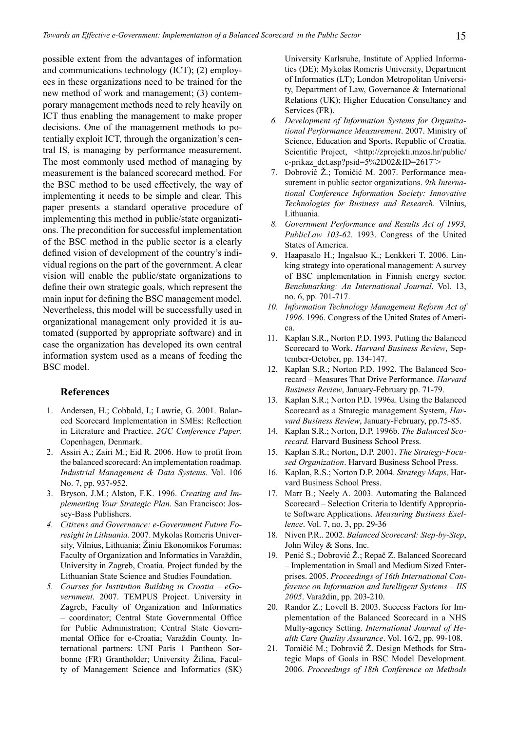possible extent from the advantages of information and communications technology (ICT); (2) employees in these organizations need to be trained for the new method of work and management; (3) contemporary management methods need to rely heavily on ICT thus enabling the management to make proper decisions. One of the management methods to potentially exploit ICT, through the organization's central IS, is managing by performance measurement. The most commonly used method of managing by measurement is the balanced scorecard method. For the BSC method to be used effectively, the way of implementing it needs to be simple and clear. This paper presents a standard operative procedure of implementing this method in public/state organizations. The precondition for successful implementation of the BSC method in the public sector is a clearly defined vision of development of the country's individual regions on the part of the government. A clear vision will enable the public/state organizations to define their own strategic goals, which represent the main input for defining the BSC management model. Nevertheless, this model will be successfully used in organizational management only provided it is automated (supported by appropriate software) and in case the organization has developed its own central information system used as a means of feeding the BSC model.

#### **References**

- 1. Andersen, H.; Cobbald, I.; Lawrie, G. 2001. Balanced Scorecard Implementation in SMEs: Reflection in Literature and Practice. *2GC Conference Paper*. Copenhagen, Denmark.
- 2. Assiri A.; Zairi M.; Eid R. 2006. How to profit from the balanced scorecard: An implementation roadmap. *Industrial Management & Data Systems*. Vol. 106 No. 7, pp. 937-952.
- 3. Bryson, J.M.; Alston, F.K. 1996. *Creating and Implementing Your Strategic Plan*. San Francisco: Jossey-Bass Publishers.
- *4. Citizens and Governance: e-Government Future Foresight in Lithuania*. 2007. Mykolas Romeris University, Vilnius, Lithuania; Žiniu Ekonomikos Forumas; Faculty of Organization and Informatics in Varaždin, University in Zagreb, Croatia. Project funded by the Lithuanian State Science and Studies Foundation.
- *5. Courses for Institution Building in Croatia eGovernment*. 2007. TEMPUS Project. University in Zagreb, Faculty of Organization and Informatics – coordinator; Central State Governmental Office for Public Administration; Central State Governmental Office for e-Croatia; Varaždin County. International partners: UNI Paris 1 Pantheon Sorbonne (FR) Grantholder; University Žilina, Faculty of Management Science and Informatics (SK)

University Karlsruhe, Institute of Applied Informatics (DE); Mykolas Romeris University, Department of Informatics (LT); London Metropolitan University, Department of Law, Governance & International Relations (UK); Higher Education Consultancy and Services (FR).

- *6. Development of Information Systems for Organizational Performance Measurement*. 2007. Ministry of Science, Education and Sports, Republic of Croatia. Scientific Project, <http://zprojekti.mzos.hr/public/ c-prikaz\_det.asp?psid=5%2D02&ID=2617¨>
- 7. Dobrović Ž.; Tomičić M. 2007. Performance measurement in public sector organizations. *9th International Conference Information Society: Innovative Technologies for Business and Research*. Vilnius, Lithuania.
- *8. Government Performance and Results Act of 1993, PublicLaw 103-62*. 1993. Congress of the United States of America.
- 9. Haapasalo H.; Ingalsuo K.; Lenkkeri T. 2006. Linking strategy into operational management: A survey of BSC implementation in Finnish energy sector. *Benchmarking: An International Journal*. Vol. 13, no. 6, pp. 701-717.
- *10. Information Technology Management Reform Act of 1996*. 1996. Congress of the United States of America.
- 11. Kaplan S.R., Norton P.D. 1993. Putting the Balanced Scorecard to Work. *Harvard Business Review*, September-October, pp. 134-147.
- 12. Kaplan S.R.; Norton P.D. 1992. The Balanced Scorecard – Measures That Drive Performance. *Harvard Business Review*, January-February pp. 71-79.
- 13. Kaplan S.R.; Norton P.D. 1996a. Using the Balanced Scorecard as a Strategic management System, *Harvard Business Review*, January-February, pp.75-85.
- 14. Kaplan S.R.; Norton, D.P. 1996b. *The Balanced Scorecard.* Harvard Business School Press.
- 15. Kaplan S.R.; Norton, D.P. 2001. *The Strategy-Focused Organization*. Harvard Business School Press.
- 16. Kaplan, R.S.; Norton D.P. 2004. *Strategy Maps,* Harvard Business School Press.
- 17. Marr B.; Neely A. 2003. Automating the Balanced Scorecard – Selection Criteria to Identify Appropriate Software Applications. *Measuring Business Exellence*. Vol. 7, no. 3, pp. 29-36
- 18. Niven P.R.. 2002. *Balanced Scorecard: Step-by-Step*, John Wiley & Sons, Inc.
- 19. Penić S.; Dobrović Ž.; Repač Z. Balanced Scorecard – Implementation in Small and Medium Sized Enterprises. 2005. *Proceedings of 16th International Conference on Information and Intelligent Systems – IIS 2005*. Varaždin, pp. 203-210.
- 20. Randor Z.; Lovell B. 2003. Success Factors for Implementation of the Balanced Scorecard in a NHS Multy-agency Setting. *International Journal of Health Care Quality Assurance*. Vol. 16/2, pp. 99-108.
- 21. Tomičić M.; Dobrović Ž. Design Methods for Strategic Maps of Goals in BSC Model Development. 2006. *Proceedings of 18th Conference on Methods*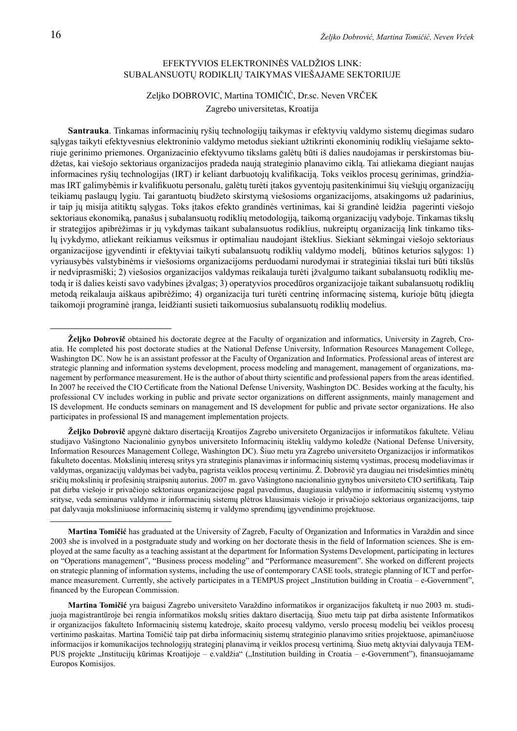#### EFEKTYVIOS ELEKTRONINĖS VALDŽIOS LINK: SUBALANSUOTŲ RODIKLIŲ TAIKYMAS VIEŠAJAME SEKTORIUJE

## Zeljko DOBROVIC, Martina TOMIČIĆ, Dr.sc. Neven VRČEK Zagrebo universitetas, Kroatija

**Santrauka**. Tinkamas informacinių ryšių technologijų taikymas ir efektyvių valdymo sistemų diegimas sudaro sąlygas taikyti efektyvesnius elektroninio valdymo metodus siekiant užtikrinti ekonominių rodiklių viešajame sektoriuje gerinimo priemones. Organizacinio efektyvumo tikslams galėtų būti iš dalies naudojamas ir perskirstomas biudžetas, kai viešojo sektoriaus organizacijos pradeda naują strateginio planavimo ciklą. Tai atliekama diegiant naujas informacines ryšių technologijas (IRT) ir keliant darbuotojų kvalifikaciją. Toks veiklos procesų gerinimas, grindžiamas IRT galimybėmis ir kvalifikuotu personalu, galėtų turėti įtakos gyventojų pasitenkinimui šių viešųjų organizacijų teikiamų paslaugų lygiu. Tai garantuotų biudžeto skirstymą viešosioms organizacijoms, atsakingoms už padarinius, ir taip jų misija atitiktų sąlygas. Toks įtakos efekto grandinės vertinimas, kai ši grandinė leidžia pagerinti viešojo sektoriaus ekonomiką, panašus į subalansuotų rodiklių metodologiją, taikomą organizacijų vadyboje. Tinkamas tikslų ir strategijos apibrėžimas ir jų vykdymas taikant subalansuotus rodiklius, nukreiptų organizaciją link tinkamo tikslų įvykdymo, atliekant reikiamus veiksmus ir optimaliau naudojant išteklius. Siekiant sėkmingai viešojo sektoriaus organizacijose įgyvendinti ir efektyviai taikyti subalansuotų rodiklių valdymo modelį, būtinos keturios sąlygos: 1) vyriausybės valstybinėms ir viešosioms organizacijoms perduodami nurodymai ir strateginiai tikslai turi būti tikslūs ir nedviprasmiški; 2) viešosios organizacijos valdymas reikalauja turėti įžvalgumo taikant subalansuotų rodiklių metodą ir iš dalies keisti savo vadybines įžvalgas; 3) operatyvios procedūros organizacijoje taikant subalansuotų rodiklių metodą reikalauja aiškaus apibrėžimo; 4) organizacija turi turėti centrinę informacinę sistemą, kurioje būtų įdiegta taikomoji programinė įranga, leidžianti susieti taikomuosius subalansuotų rodiklių modelius.

**Željko Dobrovič** apgynė daktaro disertaciją Kroatijos Zagrebo universiteto Organizacijos ir informatikos fakultete. Vėliau studijavo Vašingtono Nacionalinio gynybos universiteto Informacinių išteklių valdymo koledže (National Defense University, Information Resources Management College, Washington DC). Šiuo metu yra Zagrebo universiteto Organizacijos ir informatikos fakulteto docentas. Mokslinių interesų sritys yra strateginis planavimas ir informacinių sistemų vystimas, procesų modeliavimas ir valdymas, organizacijų valdymas bei vadyba, pagrista veiklos procesų vertinimu. Ž. Dobrovič yra daugiau nei trisdešimties minėtų sričių mokslinių ir profesinių straipsnių autorius. 2007 m. gavo Vašingtono nacionalinio gynybos universiteto CIO sertifikatą. Taip pat dirba viešojo ir privačiojo sektoriaus organizacijose pagal pavedimus, daugiausia valdymo ir informacinių sistemų vystymo srityse, veda seminarus valdymo ir informacinių sistemų plėtros klausimais viešojo ir privačiojo sektoriaus organizacijoms, taip pat dalyvauja moksliniuose informacinių sistemų ir valdymo sprendimų įgyvendinimo projektuose.

**Željko Dobrovič** obtained his doctorate degree at the Faculty of organization and informatics, University in Zagreb, Croatia. He completed his post doctorate studies at the National Defense University, Information Resources Management College, Washington DC. Now he is an assistant professor at the Faculty of Organization and Informatics. Professional areas of interest are strategic planning and information systems development, process modeling and management, management of organizations, management by performance measurement. He is the author of about thirty scientific and professional papers from the areas identified. In 2007 he received the CIO Certificate from the National Defense University, Washington DC. Besides working at the faculty, his professional CV includes working in public and private sector organizations on different assignments, mainly management and IS development. He conducts seminars on management and IS development for public and private sector organizations. He also participates in professional IS and management implementation projects.

**Martina Tomičić** has graduated at the University of Zagreb, Faculty of Organization and Informatics in Varaždin and since 2003 she is involved in a postgraduate study and working on her doctorate thesis in the field of Information sciences. She is employed at the same faculty as a teaching assistant at the department for Information Systems Development, participating in lectures on "Operations management", "Business process modeling" and "Performance measurement". She worked on different projects on strategic planning of information systems, including the use of contemporary CASE tools, strategic planning of ICT and performance measurement. Currently, she actively participates in a TEMPUS project "Institution building in Croatia – e-Government", financed by the European Commission.

**Martina Tomičić** yra baigusi Zagrebo universiteto Varaždino informatikos ir organizacijos fakultetą ir nuo 2003 m. studijuoja magistrantūroje bei rengia informatikos mokslų srities daktaro disertaciją. Šiuo metu taip pat dirba asistente Informatikos ir organizacijos fakulteto Informacinių sistemų katedroje, skaito procesų valdymo, verslo procesų modelių bei veiklos procesų vertinimo paskaitas. Martina Tomičić taip pat dirba informacinių sistemų strateginio planavimo srities projektuose, apimančiuose informacijos ir komunikacijos technologijų strateginį planavimą ir veiklos procesų vertinimą. Šiuo metų aktyviai dalyvauja TEM-PUS projekte "Institucijų kūrimas Kroatijoje – e.valdžia" ("Institution building in Croatia – e-Government"), finansuojamame Europos Komisijos.